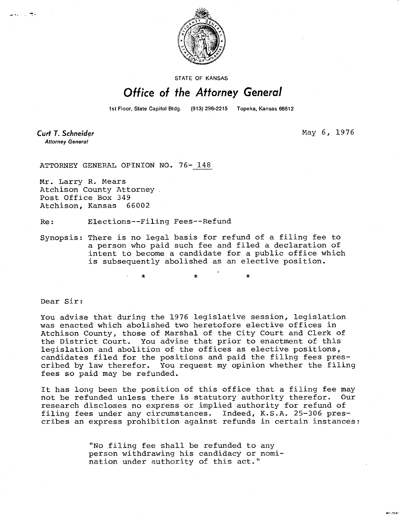

STATE OF KANSAS

## Office of the Attorney General

1st Floor, State Capitol Bldg. (913) 296-2215 Topeka, Kansas 66612

÷

**Curt T. Schneider May 6, 1976 Attorney General** 

201-1M

ATTORNEY GENERAL OPINION NO. 76- 148

Mr. Larry R. Mears Atchison County Attorney Post Office Box 349 Atchison, Kansas 66002

Re: Elections--Filing Fees--Refund

Synopsis: There is no legal basis for refund of a filing fee to a person who paid such fee and filed a declaration of intent to become a candidate for a public office which is subsequently abolished as an elective position.

\* \*

Dear Sir:

You advise that during the 1976 legislative session, legislation was enacted which abolished two heretofore elective offices in Atchison County, those of Marshal of the City Court and Clerk of the District Court. You advise that prior to enactment of this legislation and abolition of the offices as elective positions, candidates filed for the positions and paid the filing fees prescribed by law therefor. You request my opinion whether the filing fees so paid may be refunded.

It has long been the position of this office that a filing fee may not be refunded unless there is statutory authority therefor. Our research discloses no express or implied authority for refund of filing fees under any circumstances. Indeed, K.S.A. 25-306 prescribes an express prohibition against refunds in certain instances:

> "No filing fee shall be refunded to any person withdrawing his candidacy or nomination under authority of this act."